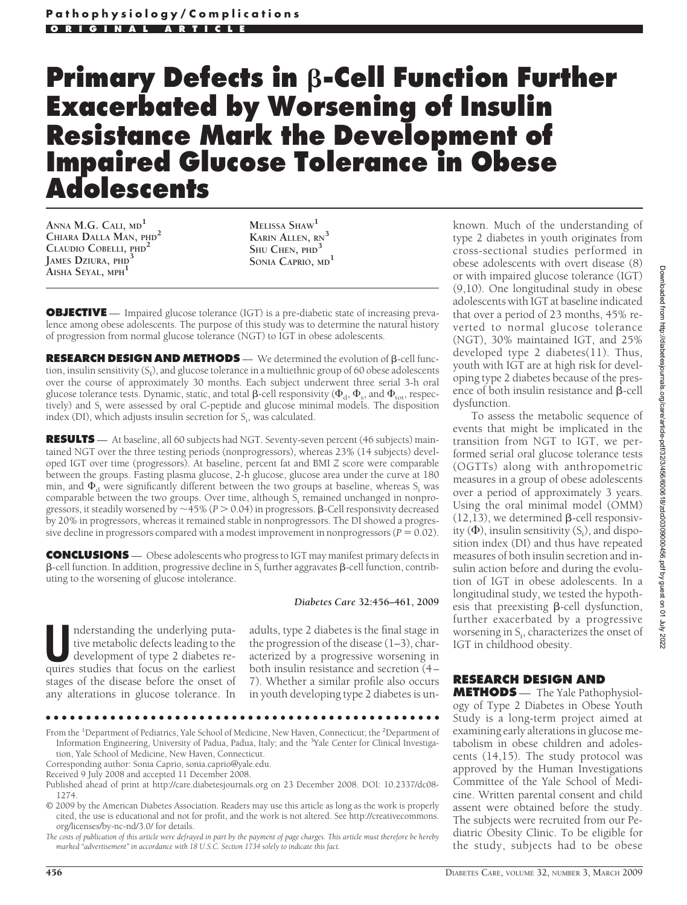# **Primary Defects in**  $\beta$ **-Cell Function Further Exacerbated by Worsening of Insulin Resistance Mark the Development of Impaired Glucose Tolerance in Obese Adolescents**

**ANNA M.G. CALI, MD<sup>1</sup> CHIARA DALLA MAN, PHD<sup>2</sup> CLAUDIO COBELLI, PHD<sup>2</sup> JAMES DZIURA, PHD<sup>3</sup> AISHA SEYAL, MPH<sup>1</sup>**

**MELISSA SHAW<sup>1</sup> KARIN ALLEN, RN<sup>3</sup> SHU CHEN, PHD<sup>3</sup> SONIA CAPRIO, MD<sup>1</sup>**

**OBJECTIVE** — Impaired glucose tolerance (IGT) is a pre-diabetic state of increasing prevalence among obese adolescents. The purpose of this study was to determine the natural history of progression from normal glucose tolerance (NGT) to IGT in obese adolescents.

**RESEARCH DESIGN AND METHODS** — We determined the evolution of *B*-cell function, insulin sensitivity (S<sub>1</sub>), and glucose tolerance in a multiethnic group of 60 obese adolescents over the course of approximately 30 months. Each subject underwent three serial 3-h oral glucose tolerance tests. Dynamic, static, and total  $\beta$ -cell responsivity  $(\Phi_{\rm d},\Phi_{\rm s},$  and  $\Phi_{\rm tot},$  respectively) and  $S_i$  were assessed by oral C-peptide and glucose minimal models. The disposition index (DI), which adjusts insulin secretion for  $S_i$ , was calculated.

**RESULTS** — At baseline, all 60 subjects had NGT. Seventy-seven percent (46 subjects) maintained NGT over the three testing periods (nonprogressors), whereas 23% (14 subjects) developed IGT over time (progressors). At baseline, percent fat and BMI *Z* score were comparable between the groups. Fasting plasma glucose, 2-h glucose, glucose area under the curve at 180 min, and  $\Phi_{\rm d}$  were significantly different between the two groups at baseline, whereas S<sub>i</sub> was comparable between the two groups. Over time, although  $\overline{S}_i$  remained unchanged in nonprogressors, it steadily worsened by  $\sim$  45% ( $P > 0.04$ ) in progressors.  $\beta$ -Cell responsivity decreased by 20% in progressors, whereas it remained stable in nonprogressors. The DI showed a progressive decline in progressors compared with a modest improvement in nonprogressors ( $P = 0.02$ ).

**CONCLUSIONS** — Obese adolescents who progress to IGT may manifest primary defects in  $\beta$ -cell function. In addition, progressive decline in S<sub>i</sub> further aggravates  $\beta$ -cell function, contributing to the worsening of glucose intolerance.

*Diabetes Care* **32:456–461, 2009**

Inderstanding the underlying puta-<br>tive metabolic defects leading to the<br>development of type 2 diabetes re-<br>quires studies that focus on the earliest tive metabolic defects leading to the quires studies that focus on the earliest stages of the disease before the onset of any alterations in glucose tolerance. In

adults, type 2 diabetes is the final stage in the progression of the disease (1–3), characterized by a progressive worsening in both insulin resistance and secretion (4– 7). Whether a similar profile also occurs in youth developing type 2 diabetes is un-

●●●●●●●●●●●●●●●●●●●●●●●●●●●●●●●●●●●●●●●●●●●●●●●●●

From the <sup>1</sup>Department of Pediatrics, Yale School of Medicine, New Haven, Connecticut; the <sup>2</sup>Department of Information Engineering, University of Padua, Padua, Italy; and the <sup>3</sup>Yale Center for Clinical Investigation, Yale School of Medicine, New Haven, Connecticut.

Corresponding author: Sonia Caprio, sonia.caprio@yale.edu.

Received 9 July 2008 and accepted 11 December 2008.

Published ahead of print at http://care.diabetesjournals.org on 23 December 2008. DOI: 10.2337/dc08- 1274.

© 2009 by the American Diabetes Association. Readers may use this article as long as the work is properly cited, the use is educational and not for profit, and the work is not altered. See http://creativecommons. org/licenses/by-nc-nd/3.0/ for details.

*The costs of publication of this article were defrayed in part by the payment of page charges. This article must therefore be hereby marked "advertisement" in accordance with 18 U.S.C. Section 1734 solely to indicate this fact.*

known. Much of the understanding of type 2 diabetes in youth originates from cross-sectional studies performed in obese adolescents with overt disease (8) or with impaired glucose tolerance (IGT) (9,10). One longitudinal study in obese adolescents with IGT at baseline indicated that over a period of 23 months, 45% reverted to normal glucose tolerance (NGT), 30% maintained IGT, and 25% developed type 2 diabetes(11). Thus, youth with IGT are at high risk for developing type 2 diabetes because of the presence of both insulin resistance and  $\beta$ -cell dysfunction.

To assess the metabolic sequence of events that might be implicated in the transition from NGT to IGT, we performed serial oral glucose tolerance tests (OGTTs) along with anthropometric measures in a group of obese adolescents over a period of approximately 3 years. Using the oral minimal model (OMM)  $(12,13)$ , we determined  $\beta$ -cell responsivity ( $\Phi$ ), insulin sensitivity (S<sub>i</sub>), and disposition index (DI) and thus have repeated measures of both insulin secretion and insulin action before and during the evolution of IGT in obese adolescents. In a longitudinal study, we tested the hypothesis that preexisting  $\beta$ -cell dysfunction, further exacerbated by a progressive worsening in S<sub>i</sub>, characterizes the onset of IGT in childhood obesity.

# **RESEARCH DESIGN AND**

**METHODS** — The Yale Pathophysiology of Type 2 Diabetes in Obese Youth Study is a long-term project aimed at examining early alterations in glucose metabolism in obese children and adolescents (14,15). The study protocol was approved by the Human Investigations Committee of the Yale School of Medicine. Written parental consent and child assent were obtained before the study. The subjects were recruited from our Pediatric Obesity Clinic. To be eligible for the study, subjects had to be obese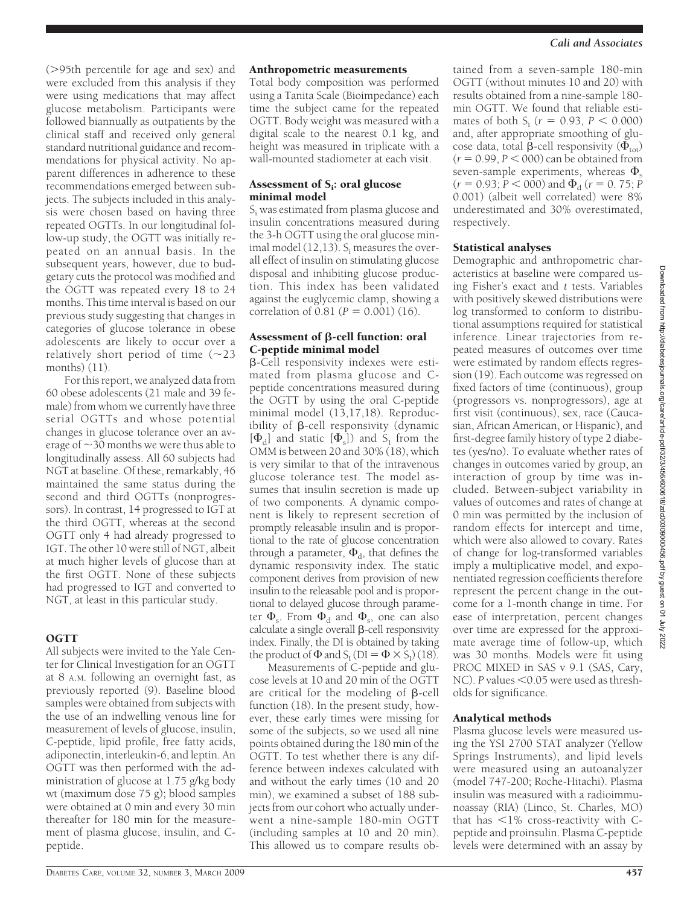( $>95th$  percentile for age and sex) and were excluded from this analysis if they were using medications that may affect glucose metabolism. Participants were followed biannually as outpatients by the clinical staff and received only general standard nutritional guidance and recommendations for physical activity. No apparent differences in adherence to these recommendations emerged between subjects. The subjects included in this analysis were chosen based on having three repeated OGTTs. In our longitudinal follow-up study, the OGTT was initially repeated on an annual basis. In the subsequent years, however, due to budgetary cuts the protocol was modified and the OGTT was repeated every 18 to 24 months. This time interval is based on our previous study suggesting that changes in categories of glucose tolerance in obese adolescents are likely to occur over a relatively short period of time  $(\sim 23)$ months) (11).

For this report, we analyzed data from 60 obese adolescents (21 male and 39 female) from whom we currently have three serial OGTTs and whose potential changes in glucose tolerance over an average of  $\sim$  30 months we were thus able to longitudinally assess. All 60 subjects had NGT at baseline. Of these, remarkably, 46 maintained the same status during the second and third OGTTs (nonprogressors). In contrast, 14 progressed to IGT at the third OGTT, whereas at the second OGTT only 4 had already progressed to IGT. The other 10 were still of NGT, albeit at much higher levels of glucose than at the first OGTT. None of these subjects had progressed to IGT and converted to NGT, at least in this particular study.

### OGTT

All subjects were invited to the Yale Center for Clinical Investigation for an OGTT at 8 A.M. following an overnight fast, as previously reported (9). Baseline blood samples were obtained from subjects with the use of an indwelling venous line for measurement of levels of glucose, insulin, C-peptide, lipid profile, free fatty acids, adiponectin, interleukin-6, and leptin. An OGTT was then performed with the administration of glucose at 1.75 g/kg body wt (maximum dose 75 g); blood samples were obtained at 0 min and every 30 min thereafter for 180 min for the measurement of plasma glucose, insulin, and Cpeptide.

#### Anthropometric measurements

Total body composition was performed using a Tanita Scale (Bioimpedance) each time the subject came for the repeated OGTT. Body weight was measured with a digital scale to the nearest 0.1 kg, and height was measured in triplicate with a wall-mounted stadiometer at each visit.

#### Assessment of S<sub>i</sub>: oral glucose minimal model

Si was estimated from plasma glucose and insulin concentrations measured during the 3-h OGTT using the oral glucose minimal model  $(12,13)$ . S<sub>i</sub> measures the overall effect of insulin on stimulating glucose disposal and inhibiting glucose production. This index has been validated against the euglycemic clamp, showing a correlation of  $0.81 (P = 0.001) (16)$ .

#### Assessment of  $\beta$ -cell function: oral C-peptide minimal model

-Cell responsivity indexes were estimated from plasma glucose and Cpeptide concentrations measured during the OGTT by using the oral C-peptide minimal model (13,17,18). Reproducibility of  $\beta$ -cell responsivity (dynamic  $[\Phi_d]$  and static  $[\Phi_s]$ ) and S<sub>I</sub> from the OMM is between 20 and 30% (18), which is very similar to that of the intravenous glucose tolerance test. The model assumes that insulin secretion is made up of two components. A dynamic component is likely to represent secretion of promptly releasable insulin and is proportional to the rate of glucose concentration through a parameter,  $\Phi_{\mathsf{d}}$ , that defines the dynamic responsivity index. The static component derives from provision of new insulin to the releasable pool and is proportional to delayed glucose through parameter  $\Phi_{\rm s}$ . From  $\Phi_{\rm d}$  and  $\Phi_{\rm s}$ , one can also calculate a single overall  $\beta$ -cell responsivity index. Finally, the DI is obtained by taking the product of  $\Phi$  and  $S_I$  (DI =  $\Phi \times S_I$ ) (18).

Measurements of C-peptide and glucose levels at 10 and 20 min of the OGTT are critical for the modeling of  $\beta$ -cell function (18). In the present study, however, these early times were missing for some of the subjects, so we used all nine points obtained during the 180 min of the OGTT. To test whether there is any difference between indexes calculated with and without the early times (10 and 20 min), we examined a subset of 188 subjects from our cohort who actually underwent a nine-sample 180-min OGTT (including samples at 10 and 20 min). This allowed us to compare results ob-

tained from a seven-sample 180-min OGTT (without minutes 10 and 20) with results obtained from a nine-sample 180 min OGTT. We found that reliable estimates of both  $S_i$  ( $r = 0.93$ ,  $P < 0.000$ ) and, after appropriate smoothing of glucose data, total  $\beta$ -cell responsivity  $(\Phi_{\text{tot}})$  $(r = 0.99, P < 000)$  can be obtained from seven-sample experiments, whereas  $\Phi_{\rm s}$  $(r = 0.93; P < 000)$  and  $\Phi_d$  ( $r = 0.75; P$ 0.001) (albeit well correlated) were 8% underestimated and 30% overestimated, respectively.

#### Statistical analyses

Demographic and anthropometric characteristics at baseline were compared using Fisher's exact and *t* tests. Variables with positively skewed distributions were log transformed to conform to distributional assumptions required for statistical inference. Linear trajectories from repeated measures of outcomes over time were estimated by random effects regression (19). Each outcome was regressed on fixed factors of time (continuous), group (progressors vs. nonprogressors), age at first visit (continuous), sex, race (Caucasian, African American, or Hispanic), and first-degree family history of type 2 diabetes (yes/no). To evaluate whether rates of changes in outcomes varied by group, an interaction of group by time was included. Between-subject variability in values of outcomes and rates of change at 0 min was permitted by the inclusion of random effects for intercept and time, which were also allowed to covary. Rates of change for log-transformed variables imply a multiplicative model, and exponentiated regression coefficients therefore represent the percent change in the outcome for a 1-month change in time. For ease of interpretation, percent changes over time are expressed for the approximate average time of follow-up, which was 30 months. Models were fit using PROC MIXED in SAS v 9.1 (SAS, Cary, NC). P values <0.05 were used as thresholds for significance.

#### Analytical methods

Plasma glucose levels were measured using the YSI 2700 STAT analyzer (Yellow Springs Instruments), and lipid levels were measured using an autoanalyzer (model 747-200; Roche-Hitachi). Plasma insulin was measured with a radioimmunoassay (RIA) (Linco, St. Charles, MO) that has  $\leq 1\%$  cross-reactivity with Cpeptide and proinsulin. Plasma C-peptide levels were determined with an assay by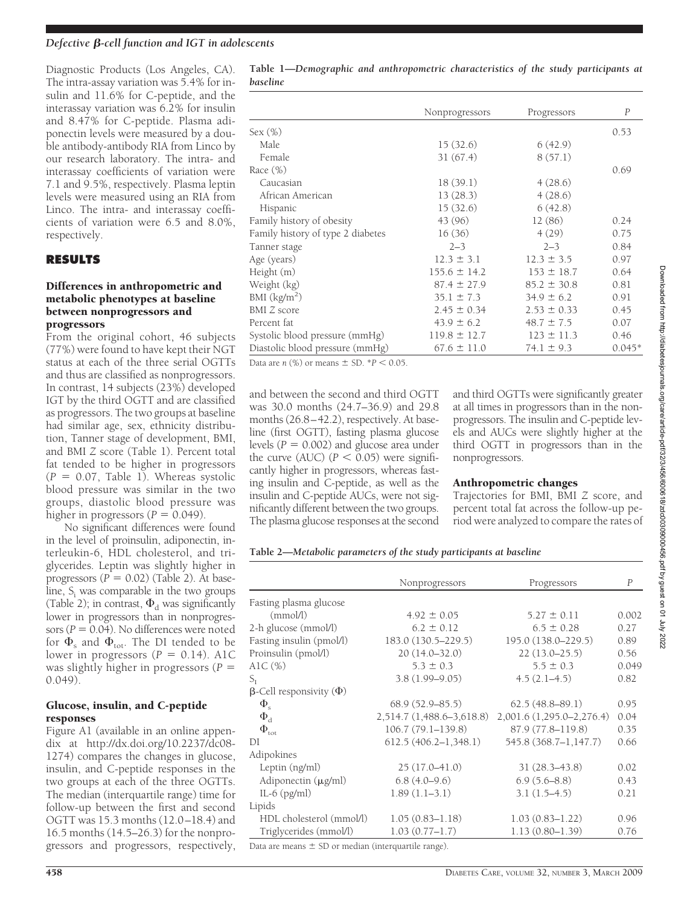#### *Defective β-cell function and IGT in adolescents*

Diagnostic Products (Los Angeles, CA). The intra-assay variation was 5.4% for insulin and 11.6% for C-peptide, and the interassay variation was 6.2% for insulin and 8.47% for C-peptide. Plasma adiponectin levels were measured by a double antibody-antibody RIA from Linco by our research laboratory. The intra- and interassay coefficients of variation were 7.1 and 9.5%, respectively. Plasma leptin levels were measured using an RIA from Linco. The intra- and interassay coefficients of variation were 6.5 and 8.0%, respectively.

#### **RESULTS**

#### Differences in anthropometric and metabolic phenotypes at baseline between nonprogressors and progressors

From the original cohort, 46 subjects (77%) were found to have kept their NGT status at each of the three serial OGTTs and thus are classified as nonprogressors. In contrast, 14 subjects (23%) developed IGT by the third OGTT and are classified as progressors. The two groups at baseline had similar age, sex, ethnicity distribution, Tanner stage of development, BMI, and BMI *Z* score (Table 1). Percent total fat tended to be higher in progressors  $(P = 0.07,$  Table 1). Whereas systolic blood pressure was similar in the two groups, diastolic blood pressure was higher in progressors  $(P = 0.049)$ .

No significant differences were found in the level of proinsulin, adiponectin, interleukin-6, HDL cholesterol, and triglycerides. Leptin was slightly higher in progressors  $(P = 0.02)$  (Table 2). At baseline,  $S<sub>i</sub>$  was comparable in the two groups (Table 2); in contrast,  $\Phi_d$  was significantly lower in progressors than in nonprogressors ( $P = 0.04$ ). No differences were noted for  $\Phi_{\rm s}$  and  $\Phi_{\rm tot}$ . The DI tended to be lower in progressors  $(P = 0.14)$ . A1C was slightly higher in progressors (*P* 0.049).

#### Glucose, insulin, and C-peptide responses

Figure A1 (available in an online appendix at http://dx.doi.org/10.2237/dc08- 1274) compares the changes in glucose, insulin, and C-peptide responses in the two groups at each of the three OGTTs. The median (interquartile range) time for follow-up between the first and second OGTT was 15.3 months (12.0–18.4) and 16.5 months (14.5–26.3) for the nonprogressors and progressors, respectively,

**Table 1—***Demographic and anthropometric characteristics of the study participants at baseline*

|                                   | Nonprogressors   | Progressors     | P        |
|-----------------------------------|------------------|-----------------|----------|
| Sex (%)                           |                  |                 | 0.53     |
| Male                              | 15(32.6)         | 6(42.9)         |          |
| Female                            | 31(67.4)         | 8(57.1)         |          |
| Race $(\%)$                       |                  |                 | 0.69     |
| Caucasian                         | 18(39.1)         | 4(28.6)         |          |
| African American                  | 13(28.3)         | 4(28.6)         |          |
| Hispanic                          | 15(32.6)         | 6(42.8)         |          |
| Family history of obesity         | 43 (96)          | 12(86)          | 0.24     |
| Family history of type 2 diabetes | 16(36)           | 4(29)           | 0.75     |
| Tanner stage                      | $2 - 3$          | $2 - 3$         | 0.84     |
| Age (years)                       | $12.3 \pm 3.1$   | $12.3 \pm 3.5$  | 0.97     |
| Height (m)                        | $155.6 \pm 14.2$ | $153 \pm 18.7$  | 0.64     |
| Weight (kg)                       | $87.4 \pm 27.9$  | $85.2 \pm 30.8$ | 0.81     |
| BMI $(kg/m2)$                     | $35.1 \pm 7.3$   | $34.9 \pm 6.2$  | 0.91     |
| <b>BMI</b> Z score                | $2.45 \pm 0.34$  | $2.53 \pm 0.33$ | 0.45     |
| Percent fat                       | $43.9 \pm 6.2$   | $48.7 \pm 7.5$  | 0.07     |
| Systolic blood pressure (mmHg)    | $119.8 \pm 12.7$ | $123 \pm 11.3$  | 0.46     |
| Diastolic blood pressure (mmHg)   | $67.6 \pm 11.0$  | $74.1 \pm 9.3$  | $0.045*$ |

Data are *n*  $(\%)$  or means  $\pm$  SD.  $*P < 0.05$ .

and between the second and third OGTT was 30.0 months (24.7–36.9) and 29.8 months (26.8–42.2), respectively. At baseline (first OGTT), fasting plasma glucose levels ( $P = 0.002$ ) and glucose area under the curve (AUC)  $(P < 0.05)$  were significantly higher in progressors, whereas fasting insulin and C-peptide, as well as the insulin and C-peptide AUCs, were not significantly different between the two groups. The plasma glucose responses at the second and third OGTTs were significantly greater at all times in progressors than in the nonprogressors. The insulin and C-peptide levels and AUCs were slightly higher at the third OGTT in progressors than in the nonprogressors.

#### Anthropometric changes

Trajectories for BMI, BMI *Z* score, and percent total fat across the follow-up period were analyzed to compare the rates of

| Table 2-Metabolic parameters of the study participants at baseline |  |  |  |
|--------------------------------------------------------------------|--|--|--|
|--------------------------------------------------------------------|--|--|--|

|                                       | Nonprogressors            | Progressors               | P     |
|---------------------------------------|---------------------------|---------------------------|-------|
| Fasting plasma glucose                |                           |                           |       |
| (mmol/l)                              | $4.92 \pm 0.05$           | $5.27 \pm 0.11$           | 0.002 |
| 2-h glucose (mmol/l)                  | $6.2 \pm 0.12$            | $6.5 \pm 0.28$            | 0.27  |
| Fasting insulin (pmol/l)              | 183.0 (130.5–229.5)       | 195.0 (138.0-229.5)       | 0.89  |
| Proinsulin (pmol/l)                   | $20(14.0 - 32.0)$         | $22(13.0 - 25.5)$         | 0.56  |
| AlC $(\%)$                            | $5.3 \pm 0.3$             | $5.5 \pm 0.3$             | 0.049 |
| $S_{\rm T}$                           | $3.8(1.99 - 9.05)$        | $4.5(2.1-4.5)$            | 0.82  |
| $\beta$ -Cell responsivity ( $\Phi$ ) |                           |                           |       |
| $\Phi_{\rm s}$                        | $68.9(52.9 - 85.5)$       | $62.5(48.8 - 89.1)$       | 0.95  |
| $\Phi_{\rm d}$                        | 2,514.7 (1,488.6–3,618.8) | 2,001.6 (1,295.0-2,276.4) | 0.04  |
| $\Phi_{\rm tot}$                      | $106.7(79.1 - 139.8)$     | 87.9 (77.8-119.8)         | 0.35  |
| DI                                    | 612.5 (406.2–1,348.1)     | 545.8 (368.7-1,147.7)     | 0.66  |
| Adipokines                            |                           |                           |       |
| Leptin (ng/ml)                        | $25(17.0 - 41.0)$         | $31(28.3-43.8)$           | 0.02  |
| Adiponectin (µg/ml)                   | $6.8(4.0-9.6)$            | $6.9(5.6-8.8)$            | 0.43  |
| IL-6 $(pg/ml)$                        | $1.89(1.1-3.1)$           | $3.1(1.5-4.5)$            | 0.21  |
| Lipids                                |                           |                           |       |
| HDL cholesterol (mmol/l)              | $1.05(0.83 - 1.18)$       | $1.03(0.83 - 1.22)$       | 0.96  |
| Triglycerides (mmol/l)                | $1.03(0.77-1.7)$          | $1.13(0.80 - 1.39)$       | 0.76  |

Data are means  $\pm$  SD or median (interquartile range).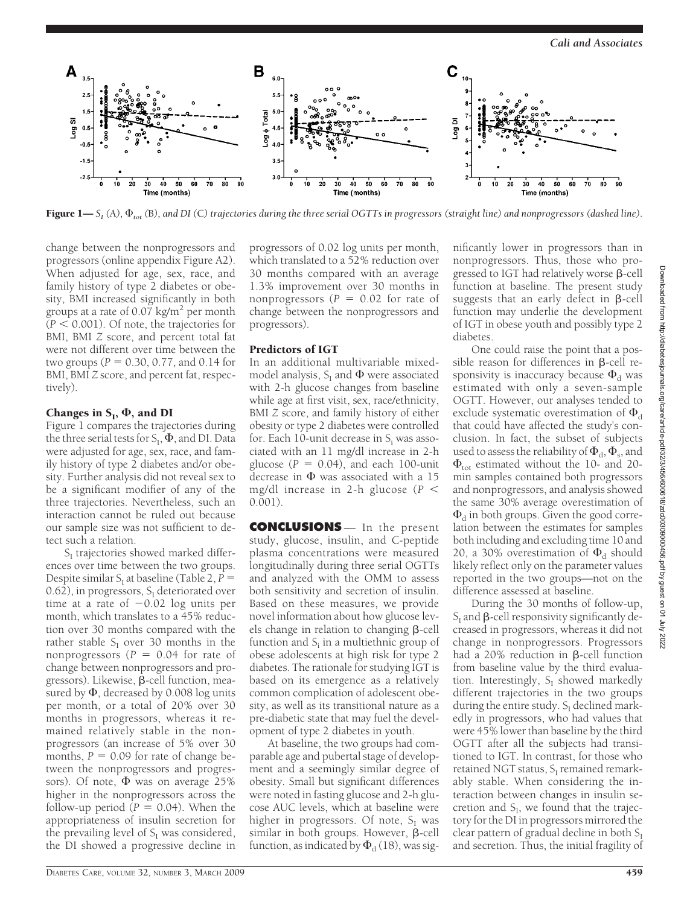

 ${\bf Figure~1}$ — ${\sf S}_{\rm I}$  (A),  $\Phi_{tot}$  (B), and DI (C) trajectories during the three serial OGTTs in progressors (straight line) and nonprogressors (dashed line).

change between the nonprogressors and progressors (online appendix Figure A2). When adjusted for age, sex, race, and family history of type 2 diabetes or obesity, BMI increased significantly in both groups at a rate of  $0.07$  kg/m<sup>2</sup> per month  $(P < 0.001)$ . Of note, the trajectories for BMI, BMI *Z* score, and percent total fat were not different over time between the two groups ( $P = 0.30, 0.77,$  and 0.14 for BMI, BMI *Z* score, and percent fat, respectively).

## Changes in  $S_I$ ,  $\Phi$ , and DI

Figure 1 compares the trajectories during the three serial tests for  $S_I$ ,  $\Phi$ , and DI. Data were adjusted for age, sex, race, and family history of type 2 diabetes and/or obesity. Further analysis did not reveal sex to be a significant modifier of any of the three trajectories. Nevertheless, such an interaction cannot be ruled out because our sample size was not sufficient to detect such a relation.

 $S<sub>I</sub>$  trajectories showed marked differences over time between the two groups. Despite similar  $S<sub>I</sub>$  at baseline (Table 2,  $P =$ 0.62), in progressors,  $S_I$  deteriorated over time at a rate of  $-0.02$  log units per month, which translates to a 45% reduction over 30 months compared with the rather stable  $S<sub>I</sub>$  over 30 months in the nonprogressors ( $P = 0.04$  for rate of change between nonprogressors and progressors). Likewise,  $\beta$ -cell function, measured by  $\Phi$ , decreased by 0.008 log units per month, or a total of 20% over 30 months in progressors, whereas it remained relatively stable in the nonprogressors (an increase of 5% over 30 months,  $P = 0.09$  for rate of change between the nonprogressors and progressors). Of note,  $\Phi$  was on average 25% higher in the nonprogressors across the follow-up period  $(P = 0.04)$ . When the appropriateness of insulin secretion for the prevailing level of  $S_I$  was considered, the DI showed a progressive decline in

progressors of 0.02 log units per month, which translated to a 52% reduction over 30 months compared with an average 1.3% improvement over 30 months in nonprogressors  $(P = 0.02$  for rate of change between the nonprogressors and progressors).

#### Predictors of IGT

In an additional multivariable mixedmodel analysis,  $S_{\rm I}$  and  $\Phi$  were associated with 2-h glucose changes from baseline while age at first visit, sex, race/ethnicity, BMI *Z* score, and family history of either obesity or type 2 diabetes were controlled for. Each 10-unit decrease in  $S_i$  was associated with an 11 mg/dl increase in 2-h glucose  $(P = 0.04)$ , and each 100-unit decrease in  $\Phi$  was associated with a 15 mg/dl increase in 2-h glucose (*P* 0.001).

**CONCLUSIONS** — In the present study, glucose, insulin, and C-peptide plasma concentrations were measured longitudinally during three serial OGTTs and analyzed with the OMM to assess both sensitivity and secretion of insulin. Based on these measures, we provide novel information about how glucose levels change in relation to changing  $\beta$ -cell function and  $S<sub>i</sub>$  in a multiethnic group of obese adolescents at high risk for type 2 diabetes. The rationale for studying IGT is based on its emergence as a relatively common complication of adolescent obesity, as well as its transitional nature as a pre-diabetic state that may fuel the development of type 2 diabetes in youth.

At baseline, the two groups had comparable age and pubertal stage of development and a seemingly similar degree of obesity. Small but significant differences were noted in fasting glucose and 2-h glucose AUC levels, which at baseline were higher in progressors. Of note,  $S_{I}$  was  $s$ imilar in both groups. However,  $\beta$ -cell function, as indicated by  $\Phi_{\rm d}$  (18), was sig-

nificantly lower in progressors than in nonprogressors. Thus, those who progressed to IGT had relatively worse  $\beta$ -cell function at baseline. The present study suggests that an early defect in  $\beta$ -cell function may underlie the development of IGT in obese youth and possibly type 2 diabetes.

One could raise the point that a possible reason for differences in  $\beta$ -cell responsivity is inaccuracy because  $\Phi_\mathrm{d}$  was estimated with only a seven-sample OGTT. However, our analyses tended to exclude systematic overestimation of  $\Phi_\mathrm{d}$ that could have affected the study's conclusion. In fact, the subset of subjects used to assess the reliability of  $\Phi_{\rm d}$ ,  $\Phi_{\rm s}$ , and  $\Phi_{\text{tot}}$  estimated without the 10- and 20min samples contained both progressors and nonprogressors, and analysis showed the same 30% average overestimation of  $\Phi_\mathrm{d}$  in both groups. Given the good correlation between the estimates for samples both including and excluding time 10 and 20, a 30% overestimation of  $\Phi_d$  should likely reflect only on the parameter values reported in the two groups—not on the difference assessed at baseline.

During the 30 months of follow-up,  $S<sub>I</sub>$  and  $\beta$ -cell responsivity significantly decreased in progressors, whereas it did not change in nonprogressors. Progressors had a  $20\%$  reduction in  $\beta$ -cell function from baseline value by the third evaluation. Interestingly,  $S_I$  showed markedly different trajectories in the two groups during the entire study.  $S_I$  declined markedly in progressors, who had values that were 45% lower than baseline by the third OGTT after all the subjects had transitioned to IGT. In contrast, for those who retained NGT status,  $S<sub>I</sub>$  remained remarkably stable. When considering the interaction between changes in insulin secretion and  $S_I$ , we found that the trajectory for the DI in progressors mirrored the clear pattern of gradual decline in both  $S_I$ and secretion. Thus, the initial fragility of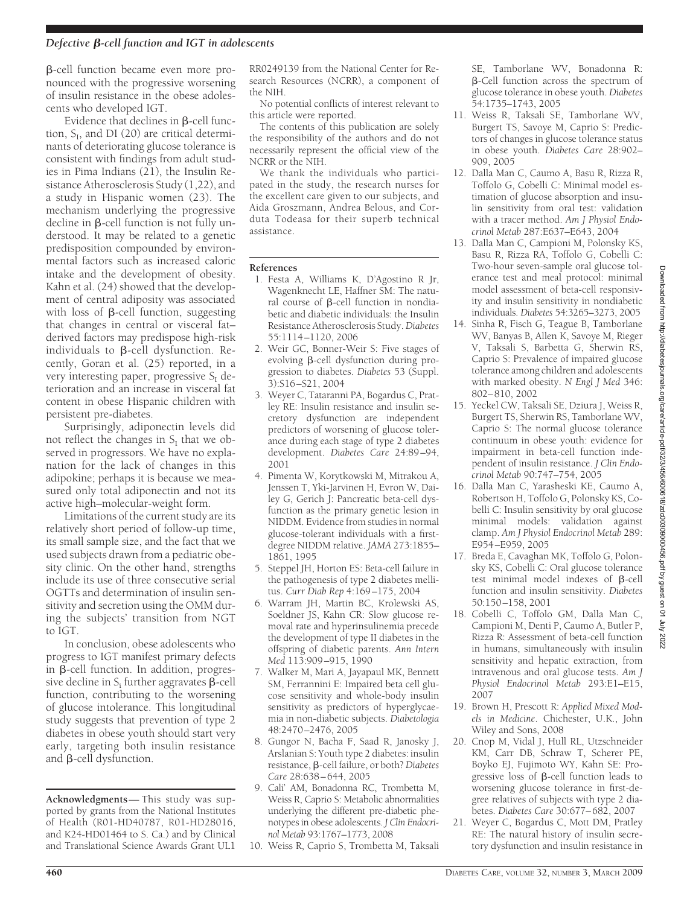-cell function became even more pronounced with the progressive worsening of insulin resistance in the obese adolescents who developed IGT.

Evidence that declines in  $\beta$ -cell function,  $S_I$ , and DI (20) are critical determinants of deteriorating glucose tolerance is consistent with findings from adult studies in Pima Indians (21), the Insulin Resistance Atherosclerosis Study (1,22), and a study in Hispanic women (23). The mechanism underlying the progressive decline in  $\beta$ -cell function is not fully understood. It may be related to a genetic predisposition compounded by environmental factors such as increased caloric intake and the development of obesity. Kahn et al. (24) showed that the development of central adiposity was associated with loss of  $\beta$ -cell function, suggesting that changes in central or visceral fat– derived factors may predispose high-risk individuals to  $\beta$ -cell dysfunction. Recently, Goran et al. (25) reported, in a very interesting paper, progressive  $S_I$  deterioration and an increase in visceral fat content in obese Hispanic children with persistent pre-diabetes.

Surprisingly, adiponectin levels did not reflect the changes in  $S_I$  that we observed in progressors. We have no explanation for the lack of changes in this adipokine; perhaps it is because we measured only total adiponectin and not its active high–molecular-weight form.

Limitations of the current study are its relatively short period of follow-up time, its small sample size, and the fact that we used subjects drawn from a pediatric obesity clinic. On the other hand, strengths include its use of three consecutive serial OGTTs and determination of insulin sensitivity and secretion using the OMM during the subjects' transition from NGT to IGT.

In conclusion, obese adolescents who progress to IGT manifest primary defects in  $\beta$ -cell function. In addition, progressive decline in  $S_i$  further aggravates  $\beta$ -cell function, contributing to the worsening of glucose intolerance. This longitudinal study suggests that prevention of type 2 diabetes in obese youth should start very early, targeting both insulin resistance and  $\beta$ -cell dysfunction.

**Acknowledgments**— This study was supported by grants from the National Institutes of Health (R01-HD40787, R01-HD28016, and K24-HD01464 to S. Ca.) and by Clinical and Translational Science Awards Grant UL1

RR0249139 from the National Center for Research Resources (NCRR), a component of the NIH.

No potential conflicts of interest relevant to this article were reported.

The contents of this publication are solely the responsibility of the authors and do not necessarily represent the official view of the NCRR or the NIH.

We thank the individuals who participated in the study, the research nurses for the excellent care given to our subjects, and Aida Groszmann, Andrea Belous, and Corduta Todeasa for their superb technical assistance.

#### **References**

- 1. Festa A, Williams K, D'Agostino R Jr, Wagenknecht LE, Haffner SM: The natural course of  $\beta$ -cell function in nondiabetic and diabetic individuals: the Insulin Resistance Atherosclerosis Study.*Diabetes* 55:1114–1120, 2006
- 2. Weir GC, Bonner-Weir S: Five stages of evolving  $\beta$ -cell dysfunction during progression to diabetes. *Diabetes* 53 (Suppl. 3):S16–S21, 2004
- 3. Weyer C, Tataranni PA, Bogardus C, Pratley RE: Insulin resistance and insulin secretory dysfunction are independent predictors of worsening of glucose tolerance during each stage of type 2 diabetes development. *Diabetes Care* 24:89–94, 2001
- 4. Pimenta W, Korytkowski M, Mitrakou A, Jenssen T, Yki-Jarvinen H, Evron W, Dailey G, Gerich J: Pancreatic beta-cell dysfunction as the primary genetic lesion in NIDDM. Evidence from studies in normal glucose-tolerant individuals with a firstdegree NIDDM relative. *JAMA* 273:1855– 1861, 1995
- 5. Steppel JH, Horton ES: Beta-cell failure in the pathogenesis of type 2 diabetes mellitus. *Curr Diab Rep* 4:169–175, 2004
- 6. Warram JH, Martin BC, Krolewski AS, Soeldner JS, Kahn CR: Slow glucose removal rate and hyperinsulinemia precede the development of type II diabetes in the offspring of diabetic parents. *Ann Intern Med* 113:909–915, 1990
- 7. Walker M, Mari A, Jayapaul MK, Bennett SM, Ferrannini E: Impaired beta cell glucose sensitivity and whole-body insulin sensitivity as predictors of hyperglycaemia in non-diabetic subjects. *Diabetologia* 48:2470–2476, 2005
- 8. Gungor N, Bacha F, Saad R, Janosky J, Arslanian S: Youth type 2 diabetes: insulin resistance, β-cell failure, or both? Diabetes *Care* 28:638–644, 2005
- 9. Cali' AM, Bonadonna RC, Trombetta M, Weiss R, Caprio S: Metabolic abnormalities underlying the different pre-diabetic phenotypes in obese adolescents. *J Clin Endocrinol Metab* 93:1767–1773, 2008
- 10. Weiss R, Caprio S, Trombetta M, Taksali

SE, Tamborlane WV, Bonadonna R:  $\beta$ -Cell function across the spectrum of glucose tolerance in obese youth. *Diabetes* 54:1735–1743, 2005

- 11. Weiss R, Taksali SE, Tamborlane WV, Burgert TS, Savoye M, Caprio S: Predictors of changes in glucose tolerance status in obese youth. *Diabetes Care* 28:902– 909, 2005
- 12. Dalla Man C, Caumo A, Basu R, Rizza R, Toffolo G, Cobelli C: Minimal model estimation of glucose absorption and insulin sensitivity from oral test: validation with a tracer method. *Am J Physiol Endocrinol Metab* 287:E637–E643, 2004
- 13. Dalla Man C, Campioni M, Polonsky KS, Basu R, Rizza RA, Toffolo G, Cobelli C: Two-hour seven-sample oral glucose tolerance test and meal protocol: minimal model assessment of beta-cell responsivity and insulin sensitivity in nondiabetic individuals. *Diabetes* 54:3265–3273, 2005
- 14. Sinha R, Fisch G, Teague B, Tamborlane WV, Banyas B, Allen K, Savoye M, Rieger V, Taksali S, Barbetta G, Sherwin RS, Caprio S: Prevalence of impaired glucose tolerance among children and adolescents with marked obesity. *N Engl J Med* 346: 802–810, 2002
- 15. Yeckel CW, Taksali SE, Dziura J, Weiss R, Burgert TS, Sherwin RS, Tamborlane WV, Caprio S: The normal glucose tolerance continuum in obese youth: evidence for impairment in beta-cell function independent of insulin resistance. *J Clin Endocrinol Metab* 90:747–754, 2005
- 16. Dalla Man C, Yarasheski KE, Caumo A, Robertson H, Toffolo G, Polonsky KS, Cobelli C: Insulin sensitivity by oral glucose minimal models: validation against clamp. *Am J Physiol Endocrinol Metab* 289: E954–E959, 2005
- 17. Breda E, Cavaghan MK, Toffolo G, Polonsky KS, Cobelli C: Oral glucose tolerance test minimal model indexes of  $\beta$ -cell function and insulin sensitivity. *Diabetes* 50:150–158, 2001
- 18. Cobelli C, Toffolo GM, Dalla Man C, Campioni M, Denti P, Caumo A, Butler P, Rizza R: Assessment of beta-cell function in humans, simultaneously with insulin sensitivity and hepatic extraction, from intravenous and oral glucose tests. *Am J Physiol Endocrinol Metab* 293:E1–E15, 2007
- 19. Brown H, Prescott R: *Applied Mixed Models in Medicine*. Chichester, U.K., John Wiley and Sons, 2008
- 20. Cnop M, Vidal J, Hull RL, Utzschneider KM, Carr DB, Schraw T, Scherer PE, Boyko EJ, Fujimoto WY, Kahn SE: Progressive loss of  $\beta$ -cell function leads to worsening glucose tolerance in first-degree relatives of subjects with type 2 diabetes. *Diabetes Care* 30:677–682, 2007
- 21. Weyer C, Bogardus C, Mott DM, Pratley RE: The natural history of insulin secretory dysfunction and insulin resistance in